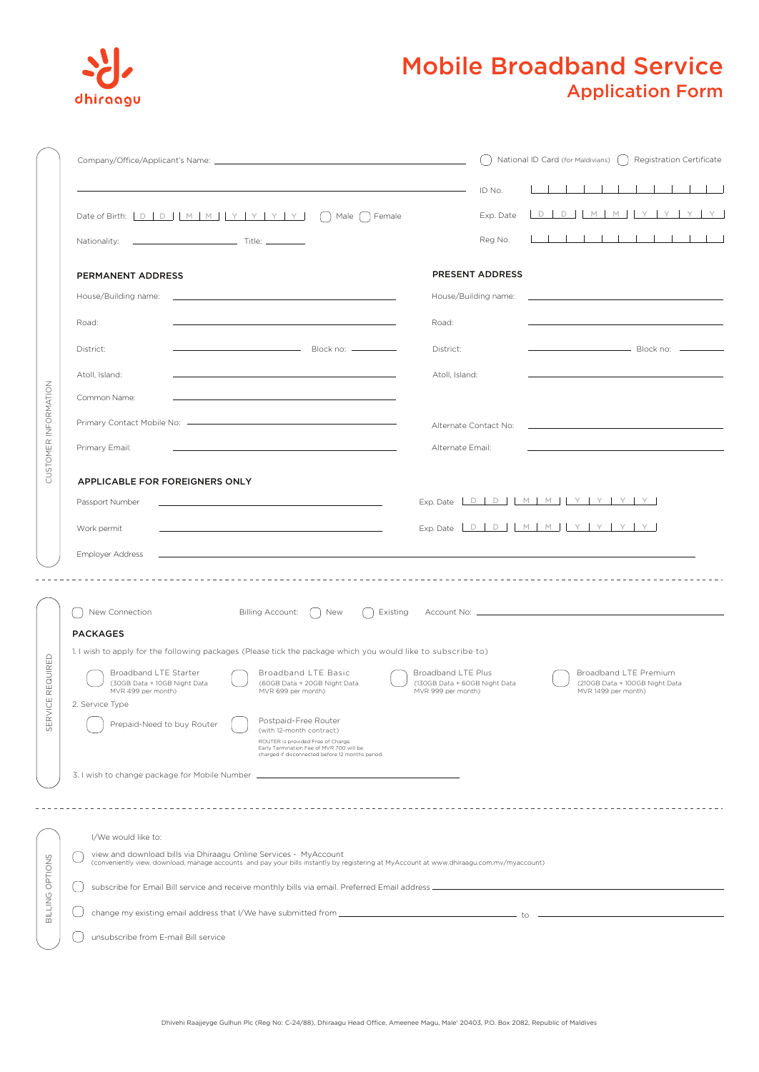

## Mobile Broadband Service Application Form

|                          |                                                                                                                                                                                                                                       |                      | National ID Card (for Maldivians) [ ]<br>Registration Certificate |                                                                                           |                                                         |   |  |  |
|--------------------------|---------------------------------------------------------------------------------------------------------------------------------------------------------------------------------------------------------------------------------------|----------------------|-------------------------------------------------------------------|-------------------------------------------------------------------------------------------|---------------------------------------------------------|---|--|--|
|                          |                                                                                                                                                                                                                                       | ID No.               |                                                                   |                                                                                           |                                                         |   |  |  |
|                          | Male ( ) Female<br>Nationality:                                                                                                                                                                                                       | Exp. Date<br>Reg No. |                                                                   | D D M M Y Y Y Y Y                                                                         |                                                         | . |  |  |
|                          |                                                                                                                                                                                                                                       |                      |                                                                   |                                                                                           |                                                         |   |  |  |
|                          | PERMANENT ADDRESS                                                                                                                                                                                                                     | PRESENT ADDRESS      |                                                                   |                                                                                           |                                                         |   |  |  |
|                          | House/Building name:<br>the control of the control of the control of the control of the control of the control of                                                                                                                     | House/Building name: |                                                                   | the control of the control of the control of the control of the control of the control of |                                                         |   |  |  |
|                          | Road:<br>Road:                                                                                                                                                                                                                        |                      |                                                                   |                                                                                           |                                                         |   |  |  |
|                          | District:<br>District:                                                                                                                                                                                                                |                      |                                                                   | ————————————————————<br>В lock no:  ———————                                               |                                                         |   |  |  |
| CUSTOMER INFORMATION     | Atoll, Island:<br>Atoll, Island:                                                                                                                                                                                                      |                      |                                                                   |                                                                                           |                                                         |   |  |  |
|                          | Common Name:                                                                                                                                                                                                                          |                      |                                                                   |                                                                                           |                                                         |   |  |  |
|                          | Alternate Contact No:                                                                                                                                                                                                                 |                      |                                                                   |                                                                                           |                                                         |   |  |  |
|                          | Primary Email:                                                                                                                                                                                                                        | Alternate Email:     |                                                                   |                                                                                           |                                                         |   |  |  |
|                          |                                                                                                                                                                                                                                       |                      |                                                                   |                                                                                           |                                                         |   |  |  |
|                          | APPLICABLE FOR FOREIGNERS ONLY<br>Exp. Date $D D   D   M   M   Y   Y   Y$<br>Passport Number<br><u> 1989 - Johann Stein, marwolaethau a bhann an t-Albann an t-Albann an t-Albann an t-Albann an t-Albann an t-Alb</u>                |                      |                                                                   |                                                                                           |                                                         |   |  |  |
|                          | Exp. Date $D D D M M N Y Y Y Y$                                                                                                                                                                                                       |                      |                                                                   |                                                                                           |                                                         |   |  |  |
|                          | Work permit                                                                                                                                                                                                                           |                      |                                                                   |                                                                                           |                                                         |   |  |  |
|                          | Employer Address                                                                                                                                                                                                                      |                      |                                                                   |                                                                                           |                                                         |   |  |  |
|                          |                                                                                                                                                                                                                                       |                      |                                                                   |                                                                                           |                                                         |   |  |  |
|                          | New Connection<br>Billing Account:<br>New<br>Existing                                                                                                                                                                                 |                      |                                                                   |                                                                                           |                                                         |   |  |  |
|                          | <b>PACKAGES</b>                                                                                                                                                                                                                       |                      |                                                                   |                                                                                           |                                                         |   |  |  |
|                          | 1. I wish to apply for the following packages (Please tick the package which you would like to subscribe to)                                                                                                                          |                      |                                                                   |                                                                                           |                                                         |   |  |  |
| REQUIRED<br>RVICE<br>5EI | Broadband LTE Basic<br>Broadband LTE Starter<br>Broadband LTE Plus<br>(30GB Data + 10GB Night Data<br>(60GB Data + 20GB Night Data<br>(130GB Data + 60GB Night Data<br>MVR 499 per month)<br>MVR 699 per month)<br>MVR 999 per month) |                      |                                                                   | MVR 1499 per month)                                                                       | Broadband LTE Premium<br>(210GB Data + 100GB Night Data |   |  |  |
|                          | 2. Service Type                                                                                                                                                                                                                       |                      |                                                                   |                                                                                           |                                                         |   |  |  |
|                          | Postpaid-Free Router<br>Prepaid-Need to buy Router<br>(with 12-month contract)<br>ROUTER is provided Free of Charge.<br>Early Termination Fee of MVR 700 will be<br>charged if disconnected before 12 months period.                  |                      |                                                                   |                                                                                           |                                                         |   |  |  |
|                          | 3. I wish to change package for Mobile Number                                                                                                                                                                                         |                      |                                                                   |                                                                                           |                                                         |   |  |  |
|                          |                                                                                                                                                                                                                                       |                      |                                                                   |                                                                                           |                                                         |   |  |  |
|                          |                                                                                                                                                                                                                                       |                      |                                                                   |                                                                                           |                                                         |   |  |  |
|                          | I/We would like to:                                                                                                                                                                                                                   |                      |                                                                   |                                                                                           |                                                         |   |  |  |
|                          | view and download bills via Dhiraagu Online Services - MyAccount<br>(conveniently view, download, manage accounts and pay your bills instantly by registering at MyAccount at www.dhiraagu.com.mv/myaccount)                          |                      |                                                                   |                                                                                           |                                                         |   |  |  |
| BILLING OPTIONS          | subscribe for Email Bill service and receive monthly bills via email. Preferred Email address                                                                                                                                         |                      |                                                                   |                                                                                           |                                                         |   |  |  |
|                          | — to                                                                                                                                                                                                                                  |                      |                                                                   |                                                                                           |                                                         |   |  |  |
|                          | unsubscribe from E-mail Bill service                                                                                                                                                                                                  |                      |                                                                   |                                                                                           |                                                         |   |  |  |